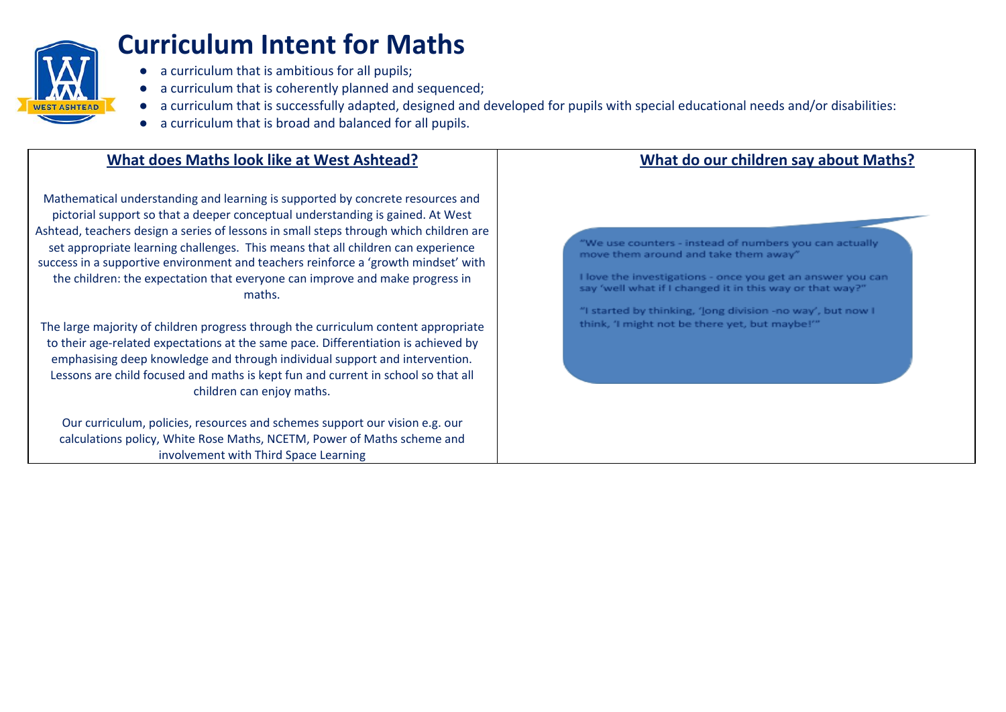

# **Curriculum Intent for Maths**

- a curriculum that is ambitious for all pupils;
- a curriculum that is coherently planned and sequenced;
- a curriculum that is successfully adapted, designed and developed for pupils with special educational needs and/or disabilities:
- a curriculum that is broad and balanced for all pupils.

## **What does Maths look like at West Ashtead?**

Mathematical understanding and learning is supported by concrete resources and pictorial support so that a deeper conceptual understanding is gained. At West Ashtead, teachers design a series of lessons in small steps through which children are set appropriate learning challenges. This means that all children can experience success in a supportive environment and teachers reinforce a 'growth mindset' with the children: the expectation that everyone can improve and make progress in maths.

The large majority of children progress through the curriculum content appropriate to their age-related expectations at the same pace. Differentiation is achieved by emphasising deep knowledge and through individual support and intervention. Lessons are child focused and maths is kept fun and current in school so that all children can enjoy maths.

Our curriculum, policies, resources and schemes support our vision e.g. our calculations policy, White Rose Maths, NCETM, Power of Maths scheme and involvement with Third Space Learning

## **What do our children say about Maths?**

"We use counters - instead of numbers you can actually move them around and take them away"

I love the investigations - once you get an answer you can say 'well what if I changed it in this way or that way?"

"I started by thinking, 'long division -no way', but now I think, 'I might not be there yet, but maybe!"